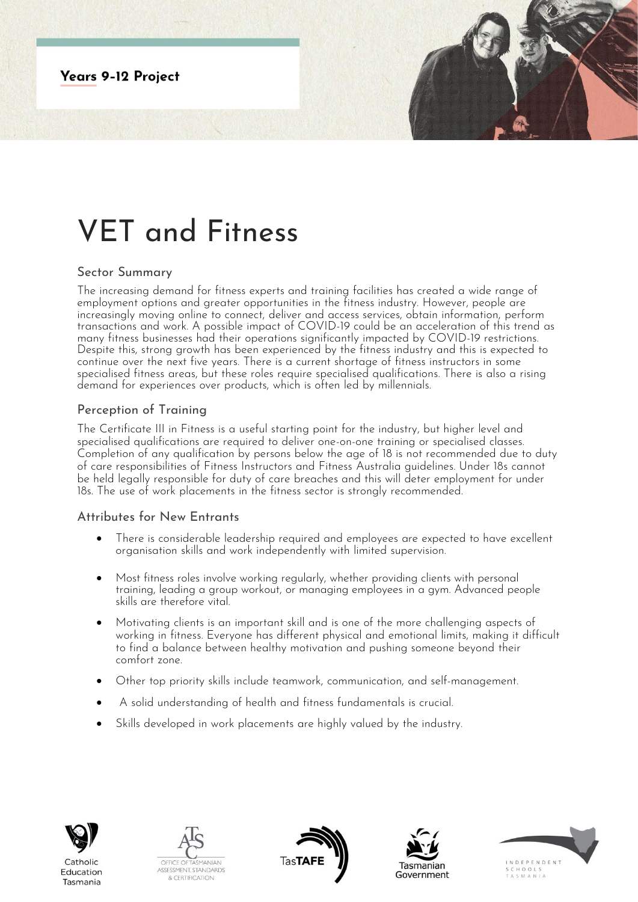

# VET and Fitness

### Sector Summary

The increasing demand for fitness experts and training facilities has created a wide range of employment options and greater opportunities in the fitness industry. However, people are increasingly moving online to connect, deliver and access services, obtain information, perform transactions and work. A possible impact of COVID-19 could be an acceleration of this trend as many fitness businesses had their operations significantly impacted by COVID-19 restrictions. Despite this, strong growth has been experienced by the fitness industry and this is expected to continue over the next five years. There is a current shortage of fitness instructors in some specialised fitness areas, but these roles require specialised qualifications. There is also a rising demand for experiences over products, which is often led by millennials.

# Perception of Training

The Certificate III in Fitness is a useful starting point for the industry, but higher level and specialised qualifications are required to deliver one-on-one training or specialised classes. Completion of any qualification by persons below the age of 18 is not recommended due to duty of care responsibilities of Fitness Instructors and Fitness Australia guidelines. Under 18s cannot be held legally responsible for duty of care breaches and this will deter employment for under 18s. The use of work placements in the fitness sector is strongly recommended.

## Attributes for New Entrants

- There is considerable leadership required and employees are expected to have excellent organisation skills and work independently with limited supervision.
- Most fitness roles involve working regularly, whether providing clients with personal training, leading a group workout, or managing employees in a gym. Advanced people skills are therefore vital.
- Motivating clients is an important skill and is one of the more challenging aspects of working in fitness. Everyone has different physical and emotional limits, making it difficult to find a balance between healthy motivation and pushing someone beyond their comfort zone.
- Other top priority skills include teamwork, communication, and self-management.
- A solid understanding of health and fitness fundamentals is crucial.
- Skills developed in work placements are highly valued by the industry.



Tasmania